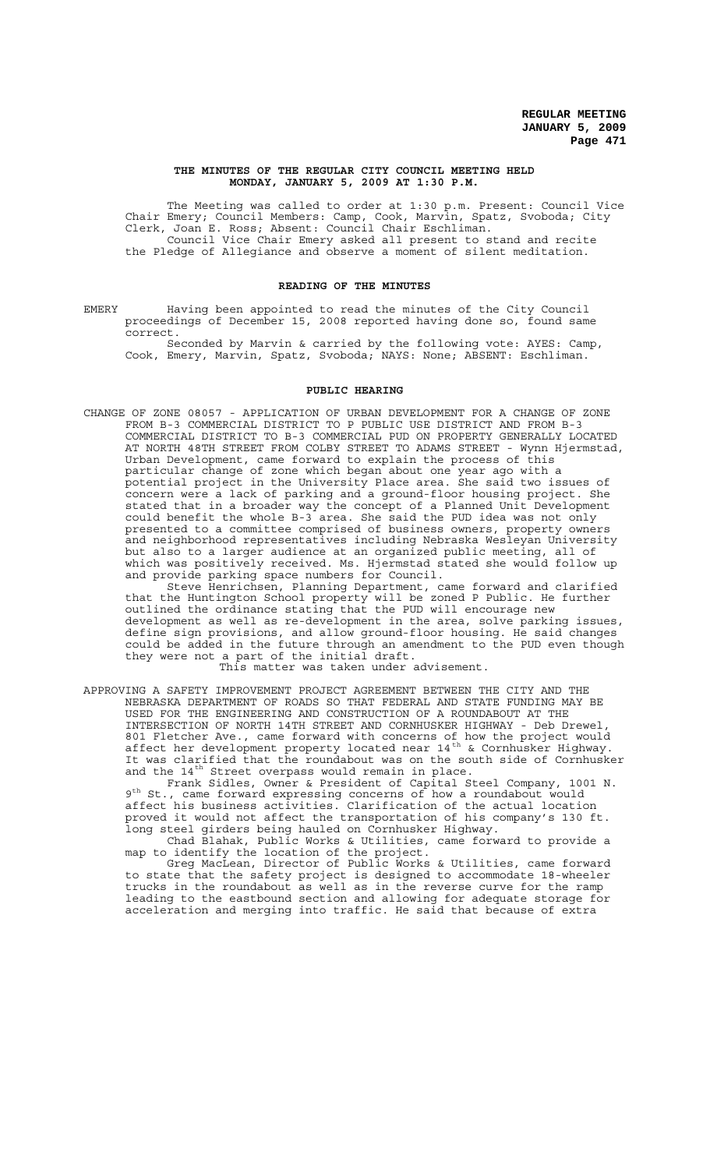#### **THE MINUTES OF THE REGULAR CITY COUNCIL MEETING HELD MONDAY, JANUARY 5, 2009 AT 1:30 P.M.**

The Meeting was called to order at 1:30 p.m. Present: Council Vice Chair Emery; Council Members: Camp, Cook, Marvin, Spatz, Svoboda; City Clerk, Joan E. Ross; Absent: Council Chair Eschliman. Council Vice Chair Emery asked all present to stand and recite the Pledge of Allegiance and observe a moment of silent meditation.

### **READING OF THE MINUTES**

EMERY Having been appointed to read the minutes of the City Council proceedings of December 15, 2008 reported having done so, found same correct.

Seconded by Marvin & carried by the following vote: AYES: Camp, Cook, Emery, Marvin, Spatz, Svoboda; NAYS: None; ABSENT: Eschliman.

#### **PUBLIC HEARING**

CHANGE OF ZONE 08057 - APPLICATION OF URBAN DEVELOPMENT FOR A CHANGE OF ZONE FROM B-3 COMMERCIAL DISTRICT TO P PUBLIC USE DISTRICT AND FROM B-3 COMMERCIAL DISTRICT TO B-3 COMMERCIAL PUD ON PROPERTY GENERALLY LOCATED AT NORTH 48TH STREET FROM COLBY STREET TO ADAMS STREET - Wynn Hjermstad, Urban Development, came forward to explain the process of this particular change of zone which began about one year ago with a potential project in the University Place area. She said two issues of concern were a lack of parking and a ground-floor housing project. She stated that in a broader way the concept of a Planned Unit Development could benefit the whole B-3 area. She said the PUD idea was not only presented to a committee comprised of business owners, property owners and neighborhood representatives including Nebraska Wesleyan University but also to a larger audience at an organized public meeting, all of which was positively received. Ms. Hjermstad stated she would follow up and provide parking space numbers for Council.

Steve Henrichsen, Planning Department, came forward and clarified that the Huntington School property will be zoned P Public. He further outlined the ordinance stating that the PUD will encourage new development as well as re-development in the area, solve parking issues, define sign provisions, and allow ground-floor housing. He said changes could be added in the future through an amendment to the PUD even though they were not a part of the initial draft.

This matter was taken under advisement.

APPROVING A SAFETY IMPROVEMENT PROJECT AGREEMENT BETWEEN THE CITY AND THE NEBRASKA DEPARTMENT OF ROADS SO THAT FEDERAL AND STATE FUNDING MAY BE USED FOR THE ENGINEERING AND CONSTRUCTION OF A ROUNDABOUT AT THE INTERSECTION OF NORTH 14TH STREET AND CORNHUSKER HIGHWAY - Deb Drewel, 801 Fletcher Ave., came forward with concerns of how the project would affect her development property located near 14<sup>th</sup> & Cornhusker Highway. It was clarified that the roundabout was on the south side of Cornhusker and the  $14^{th}$  Street overpass would remain in place.

Frank Sidles, Owner & President of Capital Steel Company, 1001 N. 9<sup>th</sup> St., came forward expressing concerns of how a roundabout would affect his business activities. Clarification of the actual location proved it would not affect the transportation of his company's 130 ft. long steel girders being hauled on Cornhusker Highway.

Chad Blahak, Public Works & Utilities, came forward to provide a map to identify the location of the project.

Greg MacLean, Director of Public Works & Utilities, came forward to state that the safety project is designed to accommodate 18-wheeler trucks in the roundabout as well as in the reverse curve for the ramp leading to the eastbound section and allowing for adequate storage for acceleration and merging into traffic. He said that because of extra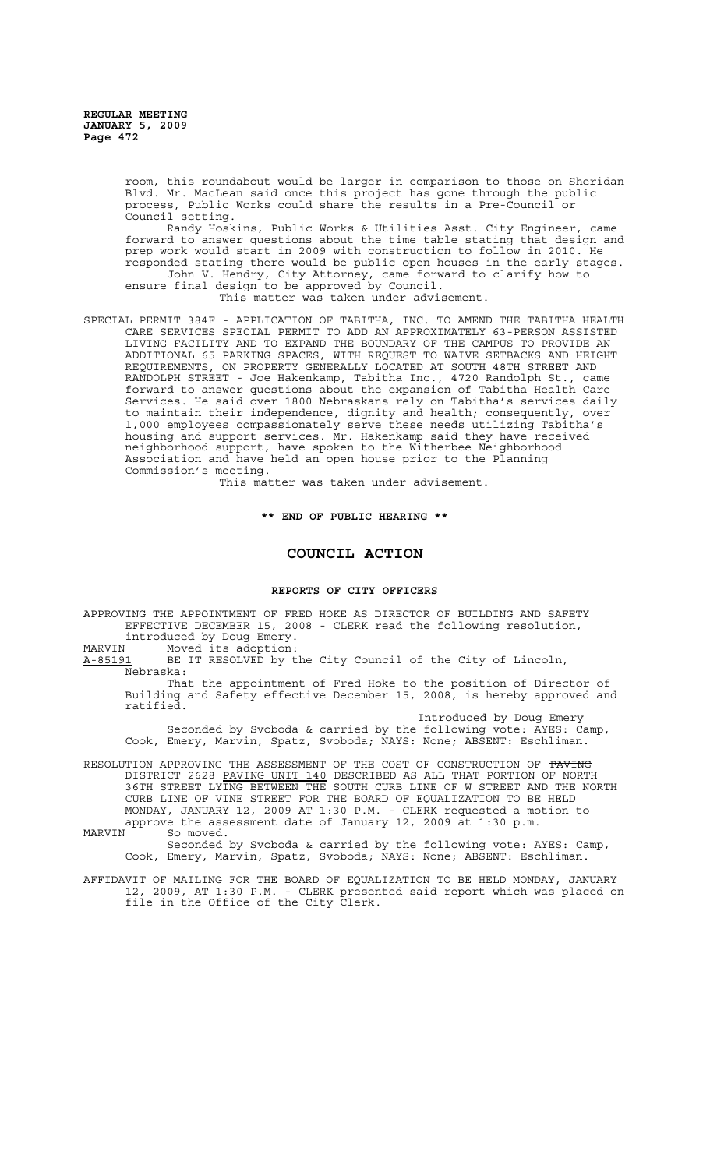room, this roundabout would be larger in comparison to those on Sheridan Blvd. Mr. MacLean said once this project has gone through the public process, Public Works could share the results in a Pre-Council or Council setting.

Randy Hoskins, Public Works & Utilities Asst. City Engineer, came forward to answer questions about the time table stating that design and prep work would start in 2009 with construction to follow in 2010. He responded stating there would be public open houses in the early stages. John V. Hendry, City Attorney, came forward to clarify how to ensure final design to be approved by Council.

This matter was taken under advisement.

SPECIAL PERMIT 384F - APPLICATION OF TABITHA, INC. TO AMEND THE TABITHA HEALTH CARE SERVICES SPECIAL PERMIT TO ADD AN APPROXIMATELY 63-PERSON ASSISTED LIVING FACILITY AND TO EXPAND THE BOUNDARY OF THE CAMPUS TO PROVIDE AN ADDITIONAL 65 PARKING SPACES, WITH REQUEST TO WAIVE SETBACKS AND HEIGHT REQUIREMENTS, ON PROPERTY GENERALLY LOCATED AT SOUTH 48TH STREET AND RANDOLPH STREET - Joe Hakenkamp, Tabitha Inc., 4720 Randolph St., came forward to answer questions about the expansion of Tabitha Health Care Services. He said over 1800 Nebraskans rely on Tabitha's services daily to maintain their independence, dignity and health; consequently, over 1,000 employees compassionately serve these needs utilizing Tabitha's housing and support services. Mr. Hakenkamp said they have received neighborhood support, have spoken to the Witherbee Neighborhood Association and have held an open house prior to the Planning Commission's meeting.

This matter was taken under advisement.

**\*\* END OF PUBLIC HEARING \*\***

### **COUNCIL ACTION**

#### **REPORTS OF CITY OFFICERS**

APPROVING THE APPOINTMENT OF FRED HOKE AS DIRECTOR OF BUILDING AND SAFETY EFFECTIVE DECEMBER 15, 2008 - CLERK read the following resolution, introduced by Doug Emery.<br>MARVIN Moved its adoption:

MARVIN Moved its adoption:

A-85191 BE IT RESOLVED by the City Council of the City of Lincoln, Nebraska:

That the appointment of Fred Hoke to the position of Director of Building and Safety effective December 15, 2008, is hereby approved and ratified.

Introduced by Doug Emery

Seconded by Svoboda & carried by the following vote: AYES: Camp, Cook, Emery, Marvin, Spatz, Svoboda; NAYS: None; ABSENT: Eschliman.

RESOLUTION APPROVING THE ASSESSMENT OF THE COST OF CONSTRUCTION OF PAVING DISTRICT 2628 PAVING UNIT 140 DESCRIBED AS ALL THAT PORTION OF NORTH 36TH STREET LYING BETWEEN THE SOUTH CURB LINE OF W STREET AND THE NORTH CURB LINE OF VINE STREET FOR THE BOARD OF EQUALIZATION TO BE HELD MONDAY, JANUARY 12, 2009 AT 1:30 P.M. - CLERK requested a motion to approve the assessment date of January 12, 2009 at 1:30 p.m.<br>MARVIN So moved.

So moved.

Seconded by Svoboda & carried by the following vote: AYES: Camp, Cook, Emery, Marvin, Spatz, Svoboda; NAYS: None; ABSENT: Eschliman.

AFFIDAVIT OF MAILING FOR THE BOARD OF EQUALIZATION TO BE HELD MONDAY, JANUARY 12, 2009, AT 1:30 P.M. - CLERK presented said report which was placed on file in the Office of the City Clerk.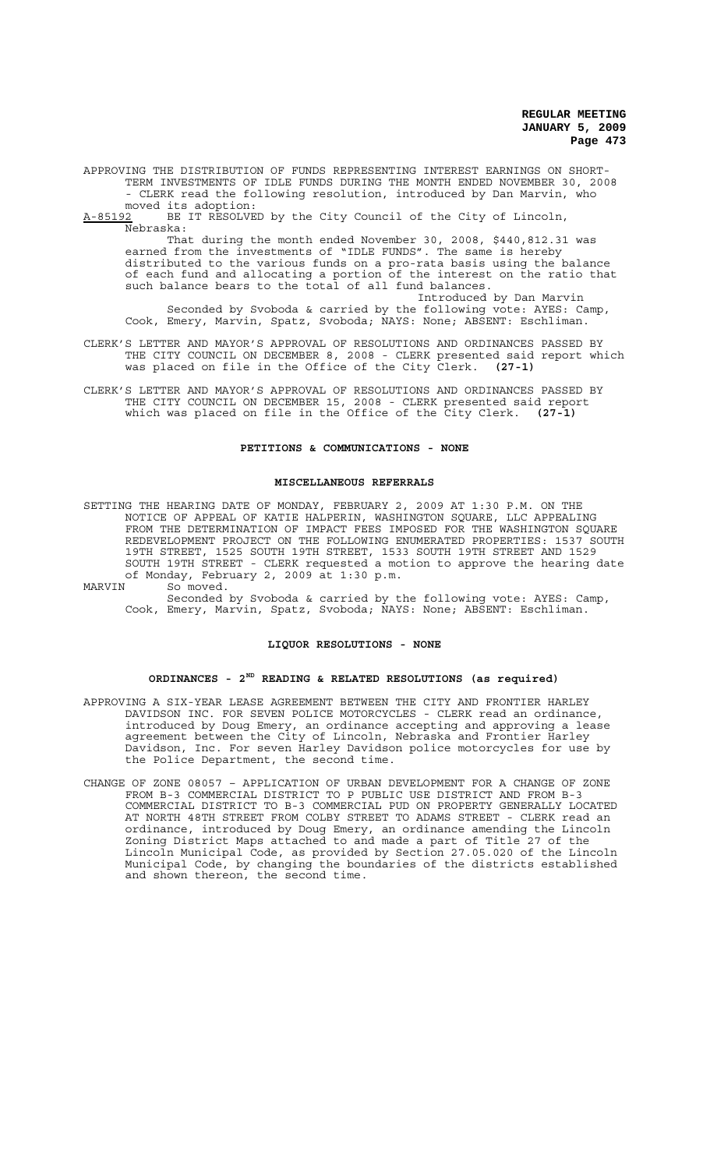APPROVING THE DISTRIBUTION OF FUNDS REPRESENTING INTEREST EARNINGS ON SHORT-TERM INVESTMENTS OF IDLE FUNDS DURING THE MONTH ENDED NOVEMBER 30, 2008 - CLERK read the following resolution, introduced by Dan Marvin, who

moved its adoption:<br>A-85192 BE IT RESOLVE BE IT RESOLVED by the City Council of the City of Lincoln, Nebraska:

That during the month ended November 30, 2008, \$440,812.31 was earned from the investments of "IDLE FUNDS". The same is hereby distributed to the various funds on a pro-rata basis using the balance of each fund and allocating a portion of the interest on the ratio that such balance bears to the total of all fund balances.

Introduced by Dan Marvin Seconded by Svoboda & carried by the following vote: AYES: Camp, Cook, Emery, Marvin, Spatz, Svoboda; NAYS: None; ABSENT: Eschliman.

- CLERK'S LETTER AND MAYOR'S APPROVAL OF RESOLUTIONS AND ORDINANCES PASSED BY THE CITY COUNCIL ON DECEMBER 8, 2008 - CLERK presented said report which was placed on file in the Office of the City Clerk. **(27-1)**
- CLERK'S LETTER AND MAYOR'S APPROVAL OF RESOLUTIONS AND ORDINANCES PASSED BY THE CITY COUNCIL ON DECEMBER 15, 2008 - CLERK presented said report which was placed on file in the Office of the City Clerk. **(27-1)**

### **PETITIONS & COMMUNICATIONS - NONE**

### **MISCELLANEOUS REFERRALS**

- SETTING THE HEARING DATE OF MONDAY, FEBRUARY 2, 2009 AT 1:30 P.M. ON THE NOTICE OF APPEAL OF KATIE HALPERIN, WASHINGTON SQUARE, LLC APPEALING FROM THE DETERMINATION OF IMPACT FEES IMPOSED FOR THE WASHINGTON SQUARE REDEVELOPMENT PROJECT ON THE FOLLOWING ENUMERATED PROPERTIES: 1537 SOUTH 19TH STREET, 1525 SOUTH 19TH STREET, 1533 SOUTH 19TH STREET AND 1529 SOUTH 19TH STREET - CLERK requested a motion to approve the hearing date of Monday, February 2, 2009 at 1:30 p.m.
- MARVIN So<sup>noved</sup>. Seconded by Svoboda & carried by the following vote: AYES: Camp,

# Cook, Emery, Marvin, Spatz, Svoboda; NAYS: None; ABSENT: Eschliman.

### **LIQUOR RESOLUTIONS - NONE**

### **ORDINANCES - 2ND READING & RELATED RESOLUTIONS (as required)**

- APPROVING A SIX-YEAR LEASE AGREEMENT BETWEEN THE CITY AND FRONTIER HARLEY DAVIDSON INC. FOR SEVEN POLICE MOTORCYCLES - CLERK read an ordinance, introduced by Doug Emery, an ordinance accepting and approving a lease agreement between the City of Lincoln, Nebraska and Frontier Harley Davidson, Inc. For seven Harley Davidson police motorcycles for use by the Police Department, the second time.
- CHANGE OF ZONE 08057 APPLICATION OF URBAN DEVELOPMENT FOR A CHANGE OF ZONE FROM B-3 COMMERCIAL DISTRICT TO P PUBLIC USE DISTRICT AND FROM B-3 COMMERCIAL DISTRICT TO B-3 COMMERCIAL PUD ON PROPERTY GENERALLY LOCATED AT NORTH 48TH STREET FROM COLBY STREET TO ADAMS STREET - CLERK read an ordinance, introduced by Doug Emery, an ordinance amending the Lincoln Zoning District Maps attached to and made a part of Title 27 of the Lincoln Municipal Code, as provided by Section 27.05.020 of the Lincoln Municipal Code, by changing the boundaries of the districts established and shown thereon, the second time.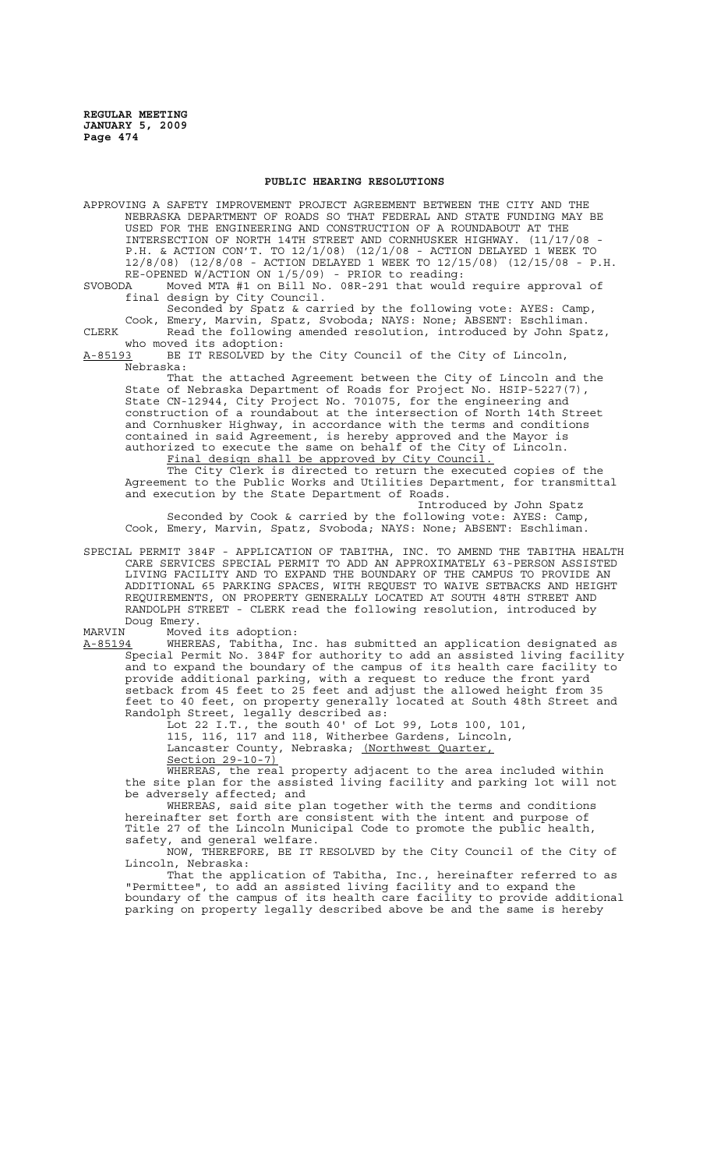### **PUBLIC HEARING RESOLUTIONS**

APPROVING A SAFETY IMPROVEMENT PROJECT AGREEMENT BETWEEN THE CITY AND THE NEBRASKA DEPARTMENT OF ROADS SO THAT FEDERAL AND STATE FUNDING MAY BE USED FOR THE ENGINEERING AND CONSTRUCTION OF A ROUNDABOUT AT THE INTERSECTION OF NORTH 14TH STREET AND CORNHUSKER HIGHWAY. (11/17/08 - P.H. & ACTION CON'T. TO 12/1/08) (12/1/08 - ACTION DELAYED 1 WEEK TO 12/8/08) (12/8/08 - ACTION DELAYED 1 WEEK TO 12/15/08) (12/15/08 - P.H. RE-OPENED W/ACTION ON 1/5/09) - PRIOR to reading:

SVOBODA Moved MTA #1 on Bill No. 08R-291 that would require approval of final design by City Council.

Seconded by Spatz & carried by the following vote: AYES: Camp, Cook, Emery, Marvin, Spatz, Svoboda; NAYS: None; ABSENT: Eschliman. CLERK Read the following amended resolution, introduced by John Spatz, who moved its adoption:<br>A-85193 BE IT RESOLVED by

BE IT RESOLVED by the City Council of the City of Lincoln, Nebraska:

That the attached Agreement between the City of Lincoln and the State of Nebraska Department of Roads for Project No. HSIP-5227(7), State CN-12944, City Project No. 701075, for the engineering and construction of a roundabout at the intersection of North 14th Street and Cornhusker Highway, in accordance with the terms and conditions contained in said Agreement, is hereby approved and the Mayor is authorized to execute the same on behalf of the City of Lincoln. Final design shall be approved by City Council.

The City Clerk is directed to return the executed copies of the Agreement to the Public Works and Utilities Department, for transmittal and execution by the State Department of Roads.

Introduced by John Spatz Seconded by Cook & carried by the following vote: AYES: Camp, Cook, Emery, Marvin, Spatz, Svoboda; NAYS: None; ABSENT: Eschliman.

SPECIAL PERMIT 384F - APPLICATION OF TABITHA, INC. TO AMEND THE TABITHA HEALTH CARE SERVICES SPECIAL PERMIT TO ADD AN APPROXIMATELY 63-PERSON ASSISTED LIVING FACILITY AND TO EXPAND THE BOUNDARY OF THE CAMPUS TO PROVIDE AN ADDITIONAL 65 PARKING SPACES, WITH REQUEST TO WAIVE SETBACKS AND HEIGHT REQUIREMENTS, ON PROPERTY GENERALLY LOCATED AT SOUTH 48TH STREET AND RANDOLPH STREET - CLERK read the following resolution, introduced by Doug Emery.

MARVIN Moved its adoption:

A-85194 MHEREAS, Tabitha, Inc. has submitted an application designated as Special Permit No. 384F for authority to add an assisted living facility and to expand the boundary of the campus of its health care facility to provide additional parking, with a request to reduce the front yard setback from 45 feet to 25 feet and adjust the allowed height from 35 feet to 40 feet, on property generally located at South 48th Street and Randolph Street, legally described as:

Lot 22 I.T., the south 40' of Lot 99, Lots 100, 101,

115, 116, 117 and 118, Witherbee Gardens, Lincoln, Lancaster County, Nebraska; <u>(Northwest Quarter,</u>

Section 29-10-7)<br>WHEREAS, the rea the real property adjacent to the area included within the site plan for the assisted living facility and parking lot will not be adversely affected; and

WHEREAS, said site plan together with the terms and conditions hereinafter set forth are consistent with the intent and purpose of Title 27 of the Lincoln Municipal Code to promote the public health, safety, and general welfare.

NOW, THEREFORE, BE IT RESOLVED by the City Council of the City of Lincoln, Nebraska:

That the application of Tabitha, Inc., hereinafter referred to as "Permittee", to add an assisted living facility and to expand the boundary of the campus of its health care facility to provide additional parking on property legally described above be and the same is hereby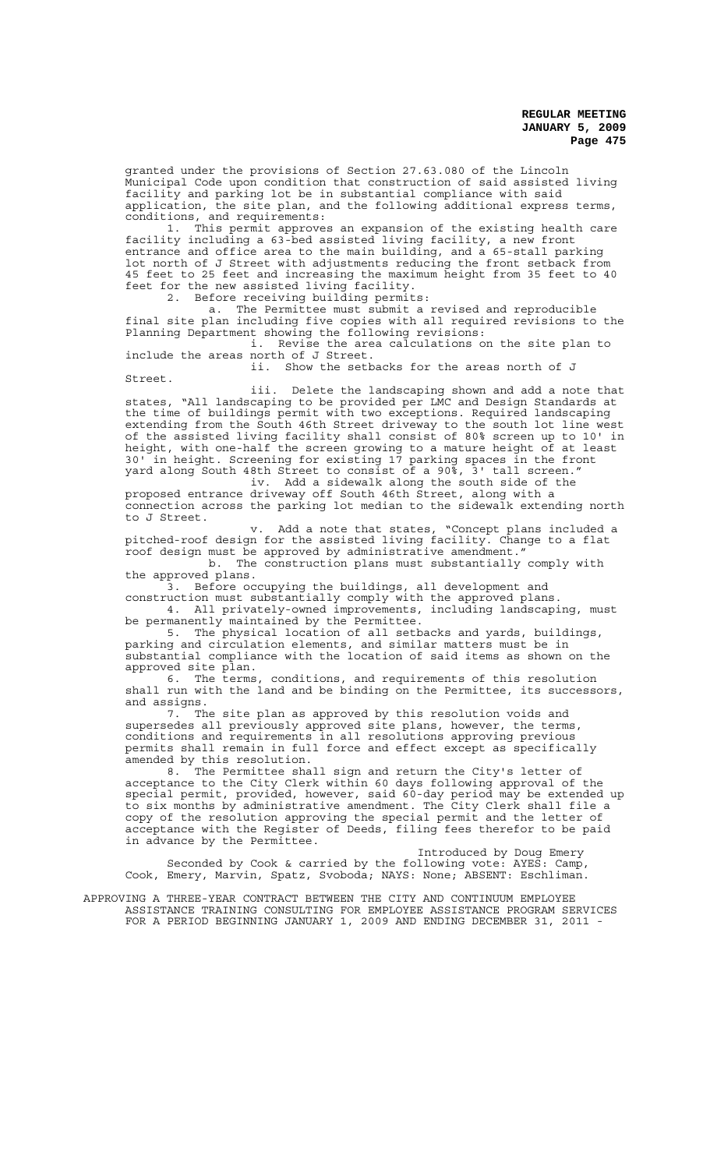granted under the provisions of Section 27.63.080 of the Lincoln Municipal Code upon condition that construction of said assisted living facility and parking lot be in substantial compliance with said application, the site plan, and the following additional express terms, conditions, and requirements:

1. This permit approves an expansion of the existing health care facility including a 63-bed assisted living facility, a new front entrance and office area to the main building, and a 65-stall parking lot north of J Street with adjustments reducing the front setback from 45 feet to 25 feet and increasing the maximum height from 35 feet to 40 feet for the new assisted living facility.

2. Before receiving building permits:<br>a. The Permittee must submit a

The Permittee must submit a revised and reproducible final site plan including five copies with all required revisions to the Planning Department showing the following revisions:

i. Revise the area calculations on the site plan to include the areas north of J Street.

ii. Show the setbacks for the areas north of J Street.

iii. Delete the landscaping shown and add a note that states, "All landscaping to be provided per LMC and Design Standards at the time of buildings permit with two exceptions. Required landscaping extending from the South 46th Street driveway to the south lot line west of the assisted living facility shall consist of 80% screen up to 10' in height, with one-half the screen growing to a mature height of at least 30' in height. Screening for existing 17 parking spaces in the front yard along South 48th Street to consist of a 90%,  $3'$  tall screen."<br>iv. Add a sidewalk along the south side of the

Add a sidewalk along the south side of the proposed entrance driveway off South 46th Street, along with a connection across the parking lot median to the sidewalk extending north to J Street.

v. Add a note that states, "Concept plans included a pitched-roof design for the assisted living facility. Change to a flat roof design must be approved by administrative amendment."

b. The construction plans must substantially comply with the approved plans.

3. Before occupying the buildings, all development and construction must substantially comply with the approved plans. 4. All privately-owned improvements, including landscaping, must

be permanently maintained by the Permittee.

5. The physical location of all setbacks and yards, buildings, parking and circulation elements, and similar matters must be in substantial compliance with the location of said items as shown on the approved site plan.

6. The terms, conditions, and requirements of this resolution shall run with the land and be binding on the Permittee, its successors, and assigns.

7. The site plan as approved by this resolution voids and supersedes all previously approved site plans, however, the terms, conditions and requirements in all resolutions approving previous permits shall remain in full force and effect except as specifically amended by this resolution.

8. The Permittee shall sign and return the City's letter of acceptance to the City Clerk within 60 days following approval of the special permit, provided, however, said 60-day period may be extended up to six months by administrative amendment. The City Clerk shall file a copy of the resolution approving the special permit and the letter of acceptance with the Register of Deeds, filing fees therefor to be paid in advance by the Permittee.

Introduced by Doug Emery Seconded by Cook & carried by the following vote: AYES: Camp, Cook, Emery, Marvin, Spatz, Svoboda; NAYS: None; ABSENT: Eschliman.

APPROVING A THREE-YEAR CONTRACT BETWEEN THE CITY AND CONTINUUM EMPLOYEE ASSISTANCE TRAINING CONSULTING FOR EMPLOYEE ASSISTANCE PROGRAM SERVICES FOR A PERIOD BEGINNING JANUARY 1, 2009 AND ENDING DECEMBER 31, 2011 -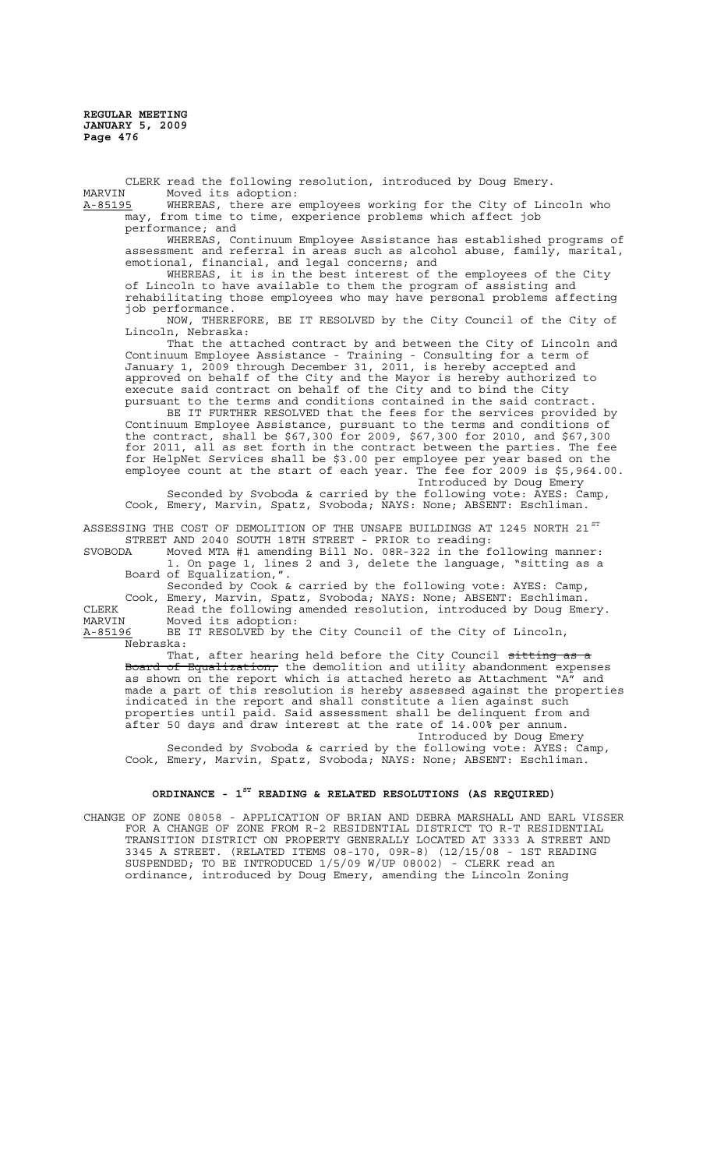CLERK read the following resolution, introduced by Doug Emery.<br>MARVIN Moved its adoption: MARVIN Moved its adoption:<br><u>A-85195</u> WHEREAS, there are

WHEREAS, there are employees working for the City of Lincoln who may, from time to time, experience problems which affect job performance; and

WHEREAS, Continuum Employee Assistance has established programs of assessment and referral in areas such as alcohol abuse, family, marital, emotional, financial, and legal concerns; and

WHEREAS, it is in the best interest of the employees of the City of Lincoln to have available to them the program of assisting and rehabilitating those employees who may have personal problems affecting job performance.

NOW, THEREFORE, BE IT RESOLVED by the City Council of the City of Lincoln, Nebraska:

That the attached contract by and between the City of Lincoln and Continuum Employee Assistance - Training - Consulting for a term of January 1, 2009 through December 31, 2011, is hereby accepted and approved on behalf of the City and the Mayor is hereby authorized to execute said contract on behalf of the City and to bind the City pursuant to the terms and conditions contained in the said contract.

BE IT FURTHER RESOLVED that the fees for the services provided by Continuum Employee Assistance, pursuant to the terms and conditions of the contract, shall be \$67,300 for 2009, \$67,300 for 2010, and \$67,300 for 2011, all as set forth in the contract between the parties. The fee for HelpNet Services shall be \$3.00 per employee per year based on the employee count at the start of each year. The fee for 2009 is \$5,964.00. Introduced by Doug Emery

Seconded by Svoboda & carried by the following vote: AYES: Camp, Cook, Emery, Marvin, Spatz, Svoboda; NAYS: None; ABSENT: Eschliman.

ASSESSING THE COST OF DEMOLITION OF THE UNSAFE BUILDINGS AT 1245 NORTH 21  $^{\mathrm{ST}}$ STREET AND 2040 SOUTH 18TH STREET - PRIOR to reading:

SVOBODA Moved MTA #1 amending Bill No. 08R-322 in the following manner: 1. On page  $1$ , lines  $2$  and 3, delete the language, "sitting as a Board of Equalization,".

Seconded by Cook & carried by the following vote: AYES: Camp, Cook, Emery, Marvin, Spatz, Svoboda; NAYS: None; ABSENT: Eschliman. CLERK Read the following amended resolution, introduced by Doug Emery.<br>MARVIN Moved its adoption: MARVIN Moved its adoption:<br><u>A-85196</u> BE IT RESOLVED by t

BE IT RESOLVED by the City Council of the City of Lincoln, Nebraska:

That, after hearing held before the City Council <del>sitting as a</del> Board of Equalization, the demolition and utility abandonment expenses as shown on the report which is attached hereto as Attachment "A" and made a part of this resolution is hereby assessed against the properties indicated in the report and shall constitute a lien against such properties until paid. Said assessment shall be delinquent from and after 50 days and draw interest at the rate of 14.00% per annum. Introduced by Doug Emery

Seconded by Svoboda & carried by the following vote: AYES: Camp, Cook, Emery, Marvin, Spatz, Svoboda; NAYS: None; ABSENT: Eschliman.

# **ORDINANCE - 1ST READING & RELATED RESOLUTIONS (AS REQUIRED)**

CHANGE OF ZONE 08058 - APPLICATION OF BRIAN AND DEBRA MARSHALL AND EARL VISSER FOR A CHANGE OF ZONE FROM R-2 RESIDENTIAL DISTRICT TO R-T RESIDENTIAL TRANSITION DISTRICT ON PROPERTY GENERALLY LOCATED AT 3333 A STREET AND 3345 A STREET. (RELATED ITEMS 08-170, 09R-8) (12/15/08 - 1ST READING SUSPENDED; TO BE INTRODUCED 1/5/09 W/UP 08002) - CLERK read an ordinance, introduced by Doug Emery, amending the Lincoln Zoning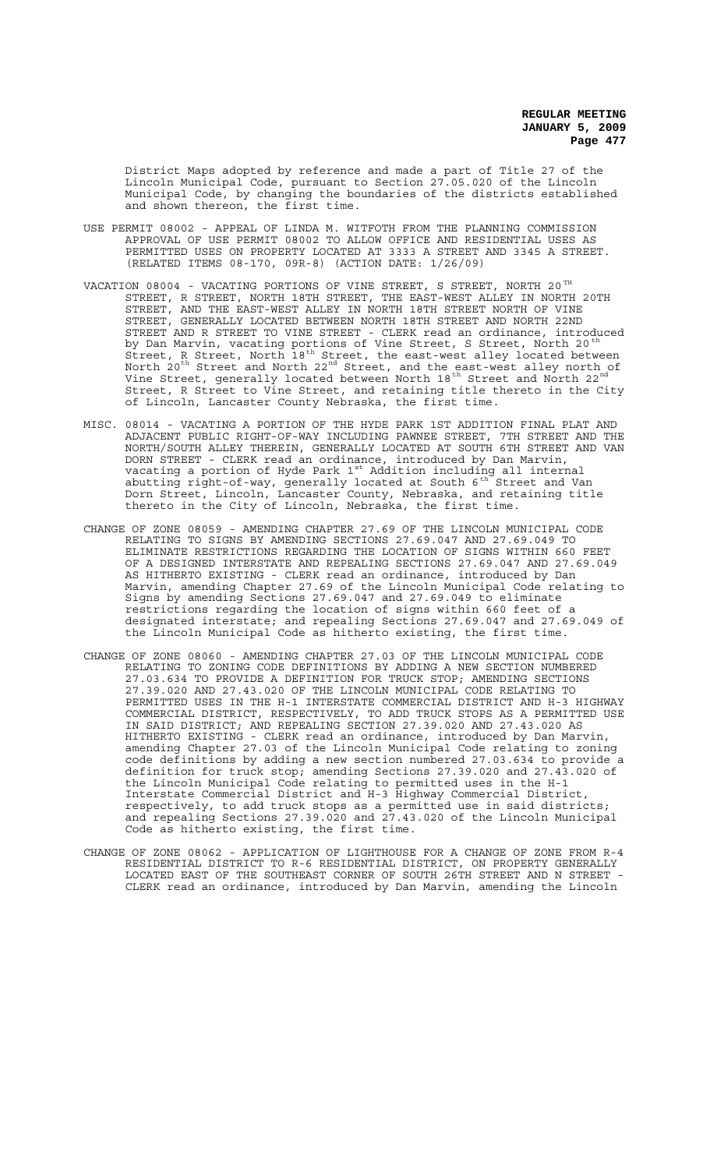District Maps adopted by reference and made a part of Title 27 of the Lincoln Municipal Code, pursuant to Section 27.05.020 of the Lincoln Municipal Code, by changing the boundaries of the districts established and shown thereon, the first time.

- USE PERMIT 08002 APPEAL OF LINDA M. WITFOTH FROM THE PLANNING COMMISSION APPROVAL OF USE PERMIT 08002 TO ALLOW OFFICE AND RESIDENTIAL USES AS PERMITTED USES ON PROPERTY LOCATED AT 3333 A STREET AND 3345 A STREET. (RELATED ITEMS 08-170, 09R-8) (ACTION DATE: 1/26/09)
- VACATION 08004 VACATING PORTIONS OF VINE STREET, S STREET, NORTH 20  $^{\texttt{TH}}$ STREET, R STREET, NORTH 18TH STREET, THE EAST-WEST ALLEY IN NORTH 20TH STREET, AND THE EAST-WEST ALLEY IN NORTH 18TH STREET NORTH OF VINE STREET, GENERALLY LOCATED BETWEEN NORTH 18TH STREET AND NORTH 22ND STREET, GENERALLY LOCATED BETWEEN NORTH 18TH STREET AND NORTH 22ND<br>STREET AND R STREET TO VINE STREET - CLERK read an ordinance, introduced by Dan Marvin, vacating portions of Vine Street, S Street, North 20 $^{\rm th}$ Street, R Street, North 18th Street, the east-west alley located between North  $20^{\text{th}}$  Street and North  $22^{\text{nd}}$  Street, and the east-west alley north of Vine Street, generally located between North 18<sup>th</sup> Street and North 22<sup>nd</sup> Street, R Street to Vine Street, and retaining title thereto in the City of Lincoln, Lancaster County Nebraska, the first time.
- MISC. 08014 VACATING A PORTION OF THE HYDE PARK 1ST ADDITION FINAL PLAT AND ADJACENT PUBLIC RIGHT-OF-WAY INCLUDING PAWNEE STREET, 7TH STREET AND THE NORTH/SOUTH ALLEY THEREIN, GENERALLY LOCATED AT SOUTH 6TH STREET AND VAN DORN STREET - CLERK read an ordinance, introduced by Dan Marvin, vacating a portion of Hyde Park  $1^{\text{st}}$  Addition including all internal abutting right-of-way, generally located at South  $6^{th}$  Street and Van Dorn Street, Lincoln, Lancaster County, Nebraska, and retaining title thereto in the City of Lincoln, Nebraska, the first time.
- CHANGE OF ZONE 08059 AMENDING CHAPTER 27.69 OF THE LINCOLN MUNICIPAL CODE RELATING TO SIGNS BY AMENDING SECTIONS 27.69.047 AND 27.69.049 TO ELIMINATE RESTRICTIONS REGARDING THE LOCATION OF SIGNS WITHIN 660 FEET OF A DESIGNED INTERSTATE AND REPEALING SECTIONS 27.69.047 AND 27.69.049 AS HITHERTO EXISTING - CLERK read an ordinance, introduced by Dan Marvin, amending Chapter 27.69 of the Lincoln Municipal Code relating to Signs by amending Sections 27.69.047 and 27.69.049 to eliminate restrictions regarding the location of signs within 660 feet of a designated interstate; and repealing Sections 27.69.047 and 27.69.049 of the Lincoln Municipal Code as hitherto existing, the first time.
- CHANGE OF ZONE 08060 AMENDING CHAPTER 27.03 OF THE LINCOLN MUNICIPAL CODE RELATING TO ZONING CODE DEFINITIONS BY ADDING A NEW SECTION NUMBERED 27.03.634 TO PROVIDE A DEFINITION FOR TRUCK STOP; AMENDING SECTIONS 27.39.020 AND 27.43.020 OF THE LINCOLN MUNICIPAL CODE RELATING TO PERMITTED USES IN THE H-1 INTERSTATE COMMERCIAL DISTRICT AND H-3 HIGHWAY COMMERCIAL DISTRICT, RESPECTIVELY, TO ADD TRUCK STOPS AS A PERMITTED USE IN SAID DISTRICT; AND REPEALING SECTION 27.39.020 AND 27.43.020 AS HITHERTO EXISTING - CLERK read an ordinance, introduced by Dan Marvin, amending Chapter 27.03 of the Lincoln Municipal Code relating to zoning code definitions by adding a new section numbered 27.03.634 to provide a definition for truck stop; amending Sections 27.39.020 and 27.43.020 of the Lincoln Municipal Code relating to permitted uses in the H-1 Interstate Commercial District and H-3 Highway Commercial District, respectively, to add truck stops as a permitted use in said districts; and repealing Sections 27.39.020 and 27.43.020 of the Lincoln Municipal Code as hitherto existing, the first time.
- CHANGE OF ZONE 08062 APPLICATION OF LIGHTHOUSE FOR A CHANGE OF ZONE FROM R-4 RESIDENTIAL DISTRICT TO R-6 RESIDENTIAL DISTRICT, ON PROPERTY GENERALLY LOCATED EAST OF THE SOUTHEAST CORNER OF SOUTH 26TH STREET AND N STREET - CLERK read an ordinance, introduced by Dan Marvin, amending the Lincoln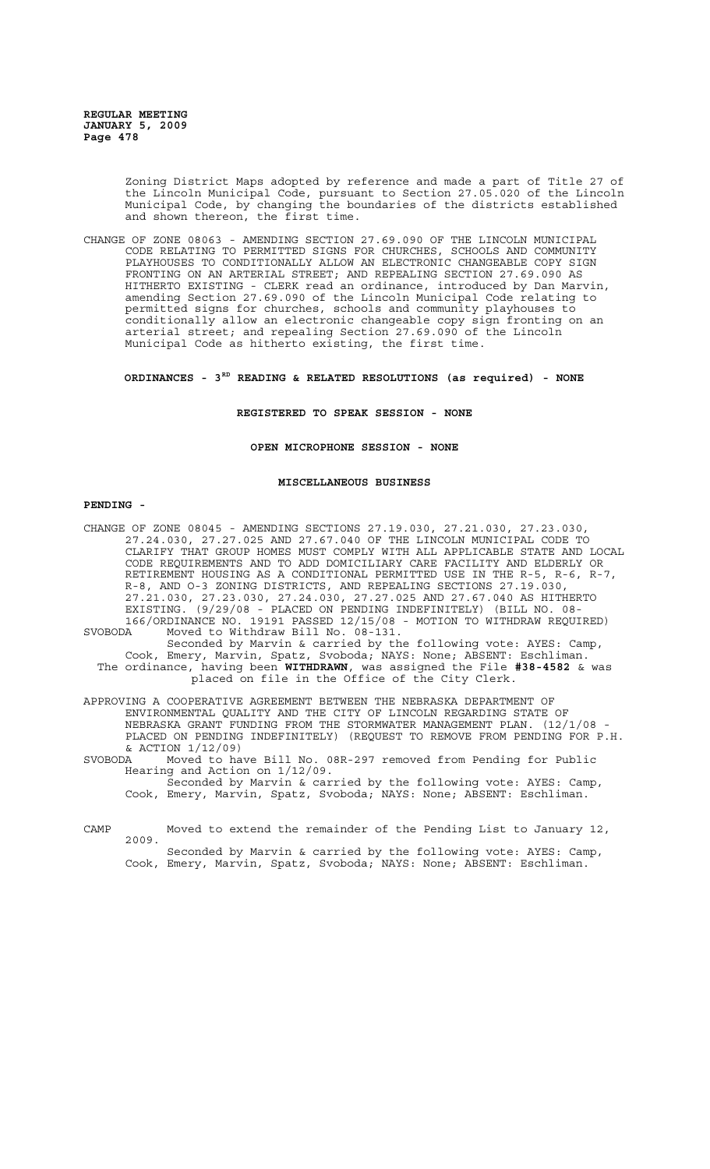> Zoning District Maps adopted by reference and made a part of Title 27 of the Lincoln Municipal Code, pursuant to Section 27.05.020 of the Lincoln Municipal Code, by changing the boundaries of the districts established and shown thereon, the first time.

CHANGE OF ZONE 08063 - AMENDING SECTION 27.69.090 OF THE LINCOLN MUNICIPAL CODE RELATING TO PERMITTED SIGNS FOR CHURCHES, SCHOOLS AND COMMUNITY PLAYHOUSES TO CONDITIONALLY ALLOW AN ELECTRONIC CHANGEABLE COPY SIGN FRONTING ON AN ARTERIAL STREET; AND REPEALING SECTION 27.69.090 AS HITHERTO EXISTING - CLERK read an ordinance, introduced by Dan Marvin, amending Section 27.69.090 of the Lincoln Municipal Code relating to permitted signs for churches, schools and community playhouses to conditionally allow an electronic changeable copy sign fronting on an arterial street; and repealing Section 27.69.090 of the Lincoln Municipal Code as hitherto existing, the first time.

**ORDINANCES - 3RD READING & RELATED RESOLUTIONS (as required) - NONE**

#### **REGISTERED TO SPEAK SESSION - NONE**

### **OPEN MICROPHONE SESSION - NONE**

#### **MISCELLANEOUS BUSINESS**

#### **PENDING -**

- CHANGE OF ZONE 08045 AMENDING SECTIONS 27.19.030, 27.21.030, 27.23.030, 27.24.030, 27.27.025 AND 27.67.040 OF THE LINCOLN MUNICIPAL CODE TO CLARIFY THAT GROUP HOMES MUST COMPLY WITH ALL APPLICABLE STATE AND LOCAL CODE REQUIREMENTS AND TO ADD DOMICILIARY CARE FACILITY AND ELDERLY OR RETIREMENT HOUSING AS A CONDITIONAL PERMITTED USE IN THE R-5, R-6, R-7, R-8, AND O-3 ZONING DISTRICTS, AND REPEALING SECTIONS 27.19.030, 27.21.030, 27.23.030, 27.24.030, 27.27.025 AND 27.67.040 AS HITHERTO EXISTING. (9/29/08 - PLACED ON PENDING INDEFINITELY) (BILL NO. 08- 166/ORDINANCE NO. 19191 PASSED 12/15/08 - MOTION TO WITHDRAW REQUIRED) SVOBODA Moved to Withdraw Bill No. 08-131.
- Seconded by Marvin & carried by the following vote: AYES: Camp, Cook, Emery, Marvin, Spatz, Svoboda; NAYS: None; ABSENT: Eschliman. The ordinance, having been **WITHDRAWN**, was assigned the File **#38-4582** & was placed on file in the Office of the City Clerk.
- APPROVING A COOPERATIVE AGREEMENT BETWEEN THE NEBRASKA DEPARTMENT OF ENVIRONMENTAL QUALITY AND THE CITY OF LINCOLN REGARDING STATE OF NEBRASKA GRANT FUNDING FROM THE STORMWATER MANAGEMENT PLAN. (12/1/08 - PLACED ON PENDING INDEFINITELY) (REQUEST TO REMOVE FROM PENDING FOR P.H.  $&$  ACTION  $1/12/09$ <br>SVORODA Moved to ba

Moved to have Bill No. 08R-297 removed from Pending for Public Hearing and Action on 1/12/09.

Seconded by Marvin & carried by the following vote: AYES: Camp, Cook, Emery, Marvin, Spatz, Svoboda; NAYS: None; ABSENT: Eschliman.

CAMP Moved to extend the remainder of the Pending List to January 12, 2009. Seconded by Marvin & carried by the following vote: AYES: Camp,

Cook, Emery, Marvin, Spatz, Svoboda; NAYS: None; ABSENT: Eschliman.